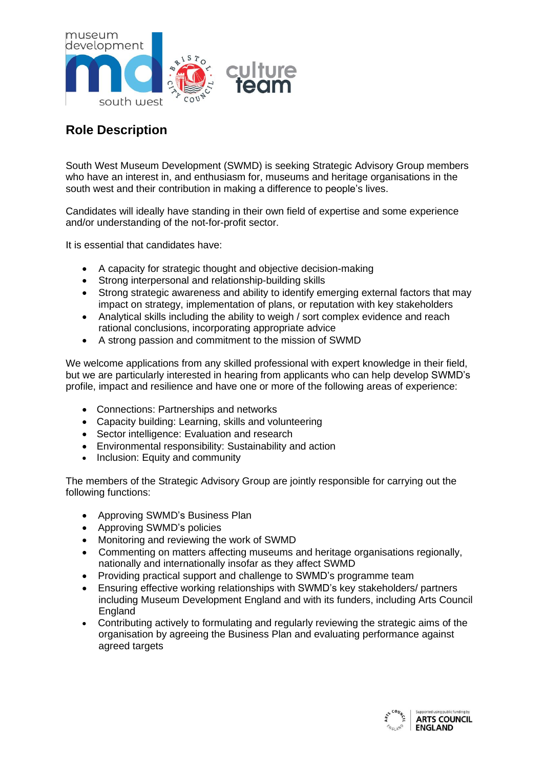

## **Role Description**

South West Museum Development (SWMD) is seeking Strategic Advisory Group members who have an interest in, and enthusiasm for, museums and heritage organisations in the south west and their contribution in making a difference to people's lives.

Candidates will ideally have standing in their own field of expertise and some experience and/or understanding of the not-for-profit sector.

It is essential that candidates have:

- A capacity for strategic thought and objective decision-making
- Strong interpersonal and relationship-building skills
- Strong strategic awareness and ability to identify emerging external factors that may impact on strategy, implementation of plans, or reputation with key stakeholders
- Analytical skills including the ability to weigh / sort complex evidence and reach rational conclusions, incorporating appropriate advice
- A strong passion and commitment to the mission of SWMD

We welcome applications from any skilled professional with expert knowledge in their field, but we are particularly interested in hearing from applicants who can help develop SWMD's profile, impact and resilience and have one or more of the following areas of experience:

- Connections: Partnerships and networks
- Capacity building: Learning, skills and volunteering
- Sector intelligence: Evaluation and research
- Environmental responsibility: Sustainability and action
- Inclusion: Equity and community

The members of the Strategic Advisory Group are jointly responsible for carrying out the following functions:

- Approving SWMD's Business Plan
- Approving SWMD's policies
- Monitoring and reviewing the work of SWMD
- Commenting on matters affecting museums and heritage organisations regionally, nationally and internationally insofar as they affect SWMD
- Providing practical support and challenge to SWMD's programme team
- Ensuring effective working relationships with SWMD's key stakeholders/ partners including Museum Development England and with its funders, including Arts Council **England**
- Contributing actively to formulating and regularly reviewing the strategic aims of the organisation by agreeing the Business Plan and evaluating performance against agreed targets